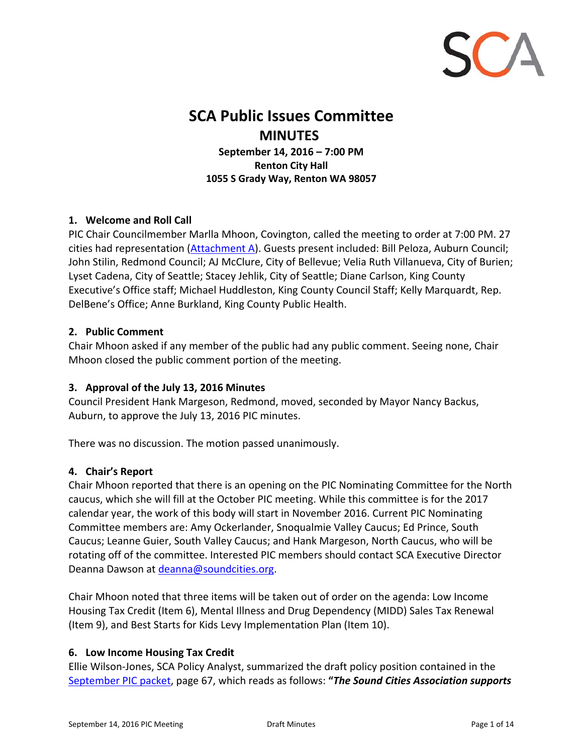

# **SCA Public Issues Committee MINUTES**

**September 14, 2016 – 7:00 PM Renton City Hall 1055 S Grady Way, Renton WA 98057** 

#### **1. Welcome and Roll Call**

PIC Chair Councilmember Marlla Mhoon, Covington, called the meeting to order at 7:00 PM. 27 cities had representation [\(Attachment A\)](#page-10-0). Guests present included: Bill Peloza, Auburn Council; John Stilin, Redmond Council; AJ McClure, City of Bellevue; Velia Ruth Villanueva, City of Burien; Lyset Cadena, City of Seattle; Stacey Jehlik, City of Seattle; Diane Carlson, King County Executive's Office staff; Michael Huddleston, King County Council Staff; Kelly Marquardt, Rep. DelBene's Office; Anne Burkland, King County Public Health.

#### **2. Public Comment**

Chair Mhoon asked if any member of the public had any public comment. Seeing none, Chair Mhoon closed the public comment portion of the meeting.

## **3. Approval of the July 13, 2016 Minutes**

Council President Hank Margeson, Redmond, moved, seconded by Mayor Nancy Backus, Auburn, to approve the July 13, 2016 PIC minutes.

There was no discussion. The motion passed unanimously.

#### **4. Chair's Report**

Chair Mhoon reported that there is an opening on the PIC Nominating Committee for the North caucus, which she will fill at the October PIC meeting. While this committee is for the 2017 calendar year, the work of this body will start in November 2016. Current PIC Nominating Committee members are: Amy Ockerlander, Snoqualmie Valley Caucus; Ed Prince, South Caucus; Leanne Guier, South Valley Caucus; and Hank Margeson, North Caucus, who will be rotating off of the committee. Interested PIC members should contact SCA Executive Director Deanna Dawson at deanna@soundcities.org.

Chair Mhoon noted that three items will be taken out of order on the agenda: Low Income Housing Tax Credit (Item 6), Mental Illness and Drug Dependency (MIDD) Sales Tax Renewal (Item 9), and Best Starts for Kids Levy Implementation Plan (Item 10).

#### **6. Low Income Housing Tax Credit**

Ellie Wilson‐Jones, SCA Policy Analyst, summarized the draft policy position contained in the [September PIC packet](http://soundcities.org/wp-content/uploads/pdfs/pic-agendas/PACKET%20SEPTEMBER%2014%202016%20PIC.pdf), page 67, which reads as follows: **"***The Sound Cities Association supports*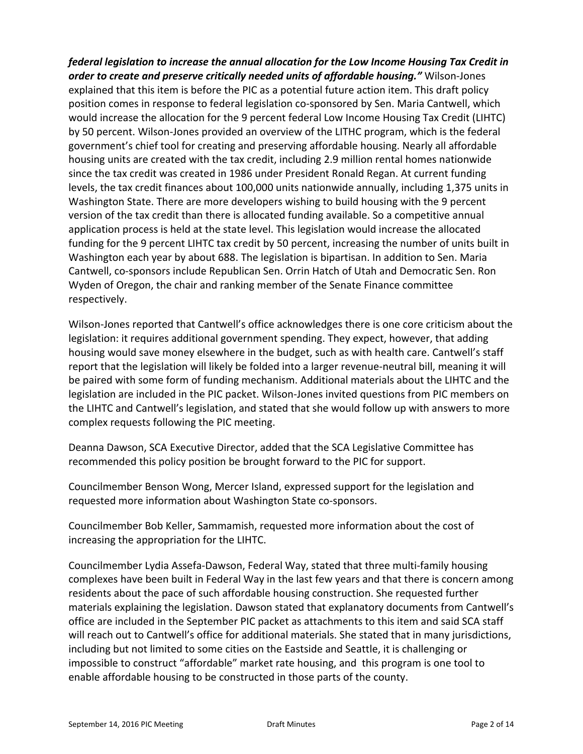*federal legislation to increase the annual allocation for the Low Income Housing Tax Credit in order to create and preserve critically needed units of affordable housing."* Wilson‐Jones explained that this item is before the PIC as a potential future action item. This draft policy position comes in response to federal legislation co-sponsored by Sen. Maria Cantwell, which would increase the allocation for the 9 percent federal Low Income Housing Tax Credit (LIHTC) by 50 percent. Wilson‐Jones provided an overview of the LITHC program, which is the federal government's chief tool for creating and preserving affordable housing. Nearly all affordable housing units are created with the tax credit, including 2.9 million rental homes nationwide since the tax credit was created in 1986 under President Ronald Regan. At current funding levels, the tax credit finances about 100,000 units nationwide annually, including 1,375 units in Washington State. There are more developers wishing to build housing with the 9 percent version of the tax credit than there is allocated funding available. So a competitive annual application process is held at the state level. This legislation would increase the allocated funding for the 9 percent LIHTC tax credit by 50 percent, increasing the number of units built in Washington each year by about 688. The legislation is bipartisan. In addition to Sen. Maria Cantwell, co‐sponsors include Republican Sen. Orrin Hatch of Utah and Democratic Sen. Ron Wyden of Oregon, the chair and ranking member of the Senate Finance committee respectively.

Wilson‐Jones reported that Cantwell's office acknowledges there is one core criticism about the legislation: it requires additional government spending. They expect, however, that adding housing would save money elsewhere in the budget, such as with health care. Cantwell's staff report that the legislation will likely be folded into a larger revenue‐neutral bill, meaning it will be paired with some form of funding mechanism. Additional materials about the LIHTC and the legislation are included in the PIC packet. Wilson‐Jones invited questions from PIC members on the LIHTC and Cantwell's legislation, and stated that she would follow up with answers to more complex requests following the PIC meeting.

Deanna Dawson, SCA Executive Director, added that the SCA Legislative Committee has recommended this policy position be brought forward to the PIC for support.

Councilmember Benson Wong, Mercer Island, expressed support for the legislation and requested more information about Washington State co‐sponsors.

Councilmember Bob Keller, Sammamish, requested more information about the cost of increasing the appropriation for the LIHTC.

Councilmember Lydia Assefa‐Dawson, Federal Way, stated that three multi‐family housing complexes have been built in Federal Way in the last few years and that there is concern among residents about the pace of such affordable housing construction. She requested further materials explaining the legislation. Dawson stated that explanatory documents from Cantwell's office are included in the September PIC packet as attachments to this item and said SCA staff will reach out to Cantwell's office for additional materials. She stated that in many jurisdictions, including but not limited to some cities on the Eastside and Seattle, it is challenging or impossible to construct "affordable" market rate housing, and this program is one tool to enable affordable housing to be constructed in those parts of the county.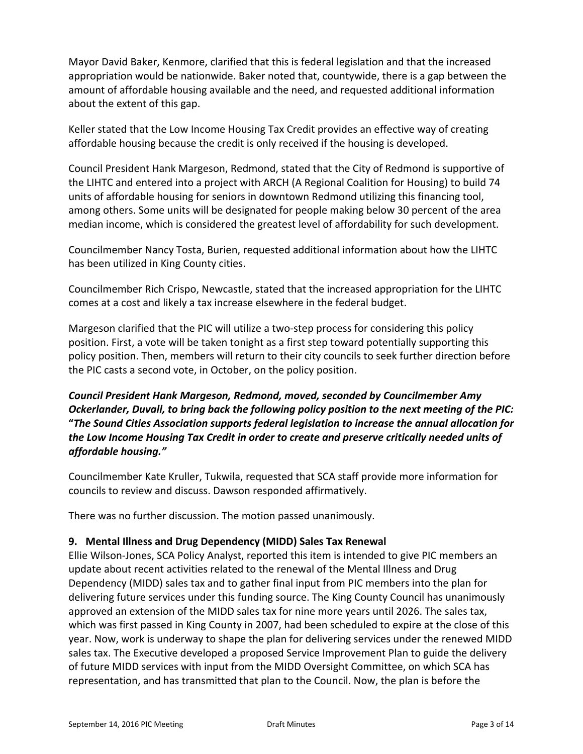Mayor David Baker, Kenmore, clarified that this is federal legislation and that the increased appropriation would be nationwide. Baker noted that, countywide, there is a gap between the amount of affordable housing available and the need, and requested additional information about the extent of this gap.

Keller stated that the Low Income Housing Tax Credit provides an effective way of creating affordable housing because the credit is only received if the housing is developed.

Council President Hank Margeson, Redmond, stated that the City of Redmond is supportive of the LIHTC and entered into a project with ARCH (A Regional Coalition for Housing) to build 74 units of affordable housing for seniors in downtown Redmond utilizing this financing tool, among others. Some units will be designated for people making below 30 percent of the area median income, which is considered the greatest level of affordability for such development.

Councilmember Nancy Tosta, Burien, requested additional information about how the LIHTC has been utilized in King County cities.

Councilmember Rich Crispo, Newcastle, stated that the increased appropriation for the LIHTC comes at a cost and likely a tax increase elsewhere in the federal budget.

Margeson clarified that the PIC will utilize a two-step process for considering this policy position. First, a vote will be taken tonight as a first step toward potentially supporting this policy position. Then, members will return to their city councils to seek further direction before the PIC casts a second vote, in October, on the policy position.

*Council President Hank Margeson, Redmond, moved, seconded by Councilmember Amy Ockerlander, Duvall, to bring back the following policy position to the next meeting of the PIC:*  **"***The Sound Cities Association supports federal legislation to increase the annual allocation for the Low Income Housing Tax Credit in order to create and preserve critically needed units of affordable housing."* 

Councilmember Kate Kruller, Tukwila, requested that SCA staff provide more information for councils to review and discuss. Dawson responded affirmatively.

There was no further discussion. The motion passed unanimously.

## **9. Mental Illness and Drug Dependency (MIDD) Sales Tax Renewal**

Ellie Wilson‐Jones, SCA Policy Analyst, reported this item is intended to give PIC members an update about recent activities related to the renewal of the Mental Illness and Drug Dependency (MIDD) sales tax and to gather final input from PIC members into the plan for delivering future services under this funding source. The King County Council has unanimously approved an extension of the MIDD sales tax for nine more years until 2026. The sales tax, which was first passed in King County in 2007, had been scheduled to expire at the close of this year. Now, work is underway to shape the plan for delivering services under the renewed MIDD sales tax. The Executive developed a proposed Service Improvement Plan to guide the delivery of future MIDD services with input from the MIDD Oversight Committee, on which SCA has representation, and has transmitted that plan to the Council. Now, the plan is before the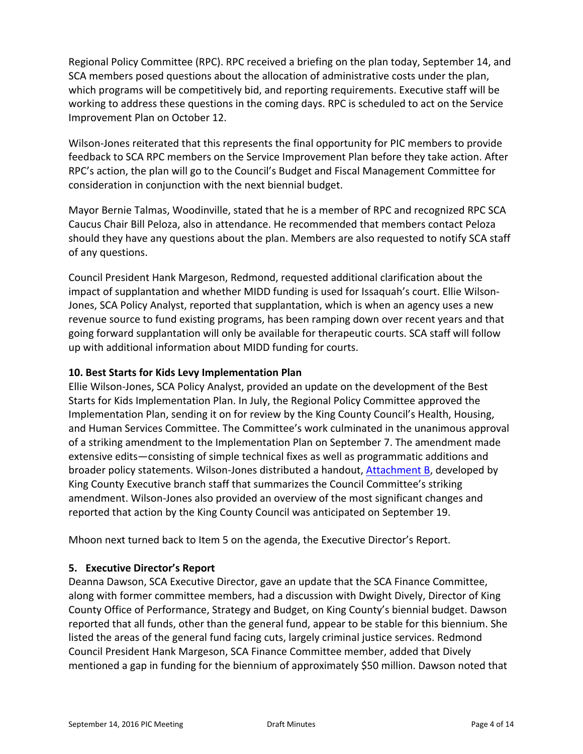Regional Policy Committee (RPC). RPC received a briefing on the plan today, September 14, and SCA members posed questions about the allocation of administrative costs under the plan, which programs will be competitively bid, and reporting requirements. Executive staff will be working to address these questions in the coming days. RPC is scheduled to act on the Service Improvement Plan on October 12.

Wilson-Jones reiterated that this represents the final opportunity for PIC members to provide feedback to SCA RPC members on the Service Improvement Plan before they take action. After RPC's action, the plan will go to the Council's Budget and Fiscal Management Committee for consideration in conjunction with the next biennial budget.

Mayor Bernie Talmas, Woodinville, stated that he is a member of RPC and recognized RPC SCA Caucus Chair Bill Peloza, also in attendance. He recommended that members contact Peloza should they have any questions about the plan. Members are also requested to notify SCA staff of any questions.

Council President Hank Margeson, Redmond, requested additional clarification about the impact of supplantation and whether MIDD funding is used for Issaquah's court. Ellie Wilson‐ Jones, SCA Policy Analyst, reported that supplantation, which is when an agency uses a new revenue source to fund existing programs, has been ramping down over recent years and that going forward supplantation will only be available for therapeutic courts. SCA staff will follow up with additional information about MIDD funding for courts.

#### **10. Best Starts for Kids Levy Implementation Plan**

Ellie Wilson‐Jones, SCA Policy Analyst, provided an update on the development of the Best Starts for Kids Implementation Plan. In July, the Regional Policy Committee approved the Implementation Plan, sending it on for review by the King County Council's Health, Housing, and Human Services Committee. The Committee's work culminated in the unanimous approval of a striking amendment to the Implementation Plan on September 7. The amendment made extensive edits—consisting of simple technical fixes as well as programmatic additions and broader policy statements. Wilson-Jones distributed a handout, **Attachment B**, developed by King County Executive branch staff that summarizes the Council Committee's striking amendment. Wilson‐Jones also provided an overview of the most significant changes and reported that action by the King County Council was anticipated on September 19.

Mhoon next turned back to Item 5 on the agenda, the Executive Director's Report.

## **5. Executive Director's Report**

Deanna Dawson, SCA Executive Director, gave an update that the SCA Finance Committee, along with former committee members, had a discussion with Dwight Dively, Director of King County Office of Performance, Strategy and Budget, on King County's biennial budget. Dawson reported that all funds, other than the general fund, appear to be stable for this biennium. She listed the areas of the general fund facing cuts, largely criminal justice services. Redmond Council President Hank Margeson, SCA Finance Committee member, added that Dively mentioned a gap in funding for the biennium of approximately \$50 million. Dawson noted that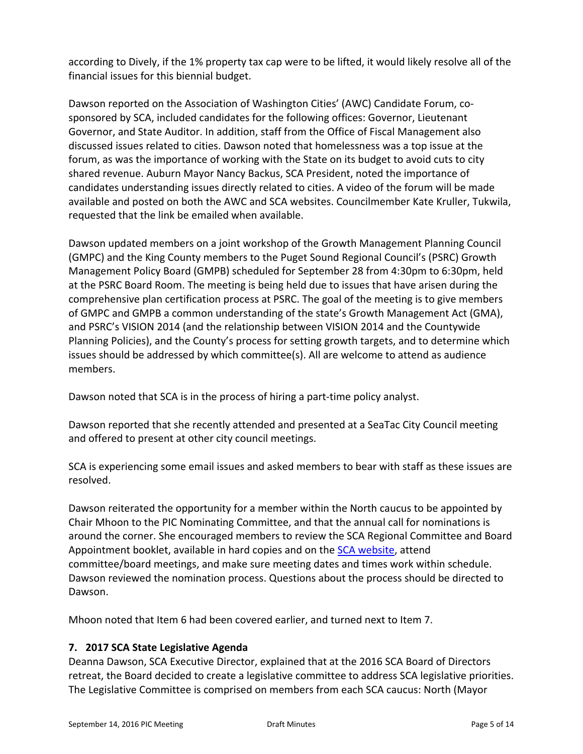according to Dively, if the 1% property tax cap were to be lifted, it would likely resolve all of the financial issues for this biennial budget.

Dawson reported on the Association of Washington Cities' (AWC) Candidate Forum, co‐ sponsored by SCA, included candidates for the following offices: Governor, Lieutenant Governor, and State Auditor. In addition, staff from the Office of Fiscal Management also discussed issues related to cities. Dawson noted that homelessness was a top issue at the forum, as was the importance of working with the State on its budget to avoid cuts to city shared revenue. Auburn Mayor Nancy Backus, SCA President, noted the importance of candidates understanding issues directly related to cities. A video of the forum will be made available and posted on both the AWC and SCA websites. Councilmember Kate Kruller, Tukwila, requested that the link be emailed when available.

Dawson updated members on a joint workshop of the Growth Management Planning Council (GMPC) and the King County members to the Puget Sound Regional Council's (PSRC) Growth Management Policy Board (GMPB) scheduled for September 28 from 4:30pm to 6:30pm, held at the PSRC Board Room. The meeting is being held due to issues that have arisen during the comprehensive plan certification process at PSRC. The goal of the meeting is to give members of GMPC and GMPB a common understanding of the state's Growth Management Act (GMA), and PSRC's VISION 2014 (and the relationship between VISION 2014 and the Countywide Planning Policies), and the County's process for setting growth targets, and to determine which issues should be addressed by which committee(s). All are welcome to attend as audience members.

Dawson noted that SCA is in the process of hiring a part-time policy analyst.

Dawson reported that she recently attended and presented at a SeaTac City Council meeting and offered to present at other city council meetings.

SCA is experiencing some email issues and asked members to bear with staff as these issues are resolved.

Dawson reiterated the opportunity for a member within the North caucus to be appointed by Chair Mhoon to the PIC Nominating Committee, and that the annual call for nominations is around the corner. She encouraged members to review the SCA Regional Committee and Board Appointment booklet, available in hard copies and on the [SCA website,](http://soundcities.org/wp-content/uploads/pdfs/committees/draft%202016%20booklet%20-%20press%20quality%20color.pdf) attend committee/board meetings, and make sure meeting dates and times work within schedule. Dawson reviewed the nomination process. Questions about the process should be directed to Dawson.

Mhoon noted that Item 6 had been covered earlier, and turned next to Item 7.

## **7. 2017 SCA State Legislative Agenda**

Deanna Dawson, SCA Executive Director, explained that at the 2016 SCA Board of Directors retreat, the Board decided to create a legislative committee to address SCA legislative priorities. The Legislative Committee is comprised on members from each SCA caucus: North (Mayor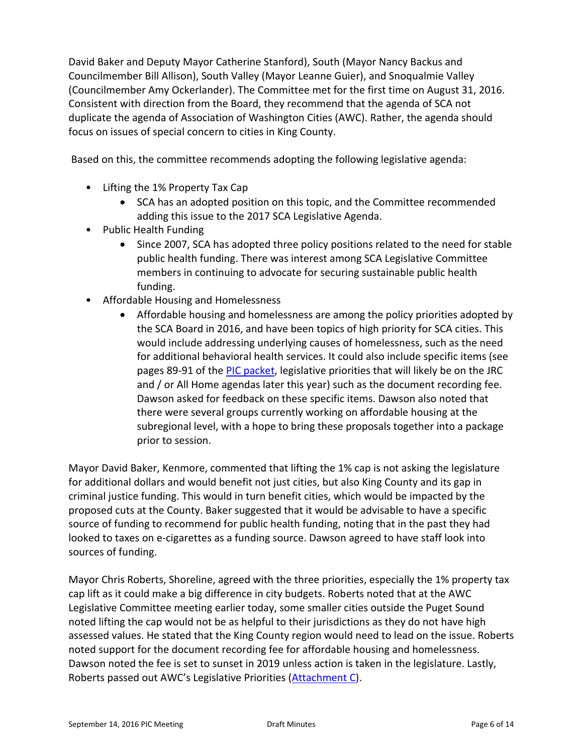David Baker and Deputy Mayor Catherine Stanford), South (Mayor Nancy Backus and Councilmember Bill Allison), South Valley (Mayor Leanne Guier), and Snoqualmie Valley (Councilmember Amy Ockerlander). The Committee met for the first time on August 31, 2016. Consistent with direction from the Board, they recommend that the agenda of SCA not duplicate the agenda of Association of Washington Cities (AWC). Rather, the agenda should focus on issues of special concern to cities in King County.

Based on this, the committee recommends adopting the following legislative agenda:

- Lifting the 1% Property Tax Cap
	- SCA has an adopted position on this topic, and the Committee recommended adding this issue to the 2017 SCA Legislative Agenda.
- Public Health Funding
	- Since 2007, SCA has adopted three policy positions related to the need for stable public health funding. There was interest among SCA Legislative Committee members in continuing to advocate for securing sustainable public health funding.
- Affordable Housing and Homelessness
	- Affordable housing and homelessness are among the policy priorities adopted by the SCA Board in 2016, and have been topics of high priority for SCA cities. This would include addressing underlying causes of homelessness, such as the need for additional behavioral health services. It could also include specific items (see pages 89‐91 of the [PIC packet,](http://soundcities.org/wp-content/uploads/pdfs/pic-agendas/PACKET%20SEPTEMBER%2014%202016%20PIC.pdf) legislative priorities that will likely be on the JRC and / or All Home agendas later this year) such as the document recording fee. Dawson asked for feedback on these specific items. Dawson also noted that there were several groups currently working on affordable housing at the subregional level, with a hope to bring these proposals together into a package prior to session.

Mayor David Baker, Kenmore, commented that lifting the 1% cap is not asking the legislature for additional dollars and would benefit not just cities, but also King County and its gap in criminal justice funding. This would in turn benefit cities, which would be impacted by the proposed cuts at the County. Baker suggested that it would be advisable to have a specific source of funding to recommend for public health funding, noting that in the past they had looked to taxes on e‐cigarettes as a funding source. Dawson agreed to have staff look into sources of funding.

Mayor Chris Roberts, Shoreline, agreed with the three priorities, especially the 1% property tax cap lift as it could make a big difference in city budgets. Roberts noted that at the AWC Legislative Committee meeting earlier today, some smaller cities outside the Puget Sound noted lifting the cap would not be as helpful to their jurisdictions as they do not have high assessed values. He stated that the King County region would need to lead on the issue. Roberts noted support for the document recording fee for affordable housing and homelessness. Dawson noted the fee is set to sunset in 2019 unless action is taken in the legislature. Lastly, Roberts passed out AWC's Legislative Priorities ([Attachment C\)](#page-13-0).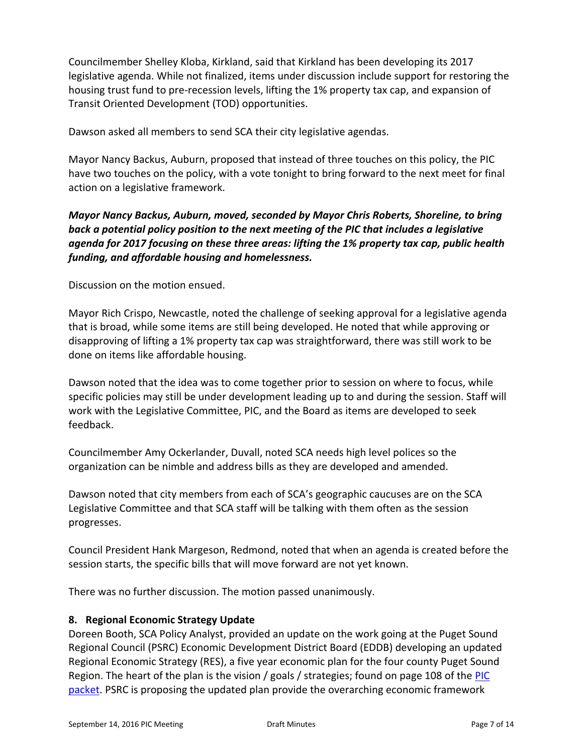Councilmember Shelley Kloba, Kirkland, said that Kirkland has been developing its 2017 legislative agenda. While not finalized, items under discussion include support for restoring the housing trust fund to pre‐recession levels, lifting the 1% property tax cap, and expansion of Transit Oriented Development (TOD) opportunities.

Dawson asked all members to send SCA their city legislative agendas.

Mayor Nancy Backus, Auburn, proposed that instead of three touches on this policy, the PIC have two touches on the policy, with a vote tonight to bring forward to the next meet for final action on a legislative framework.

## *Mayor Nancy Backus, Auburn, moved, seconded by Mayor Chris Roberts, Shoreline, to bring back a potential policy position to the next meeting of the PIC that includes a legislative agenda for 2017 focusing on these three areas: lifting the 1% property tax cap, public health funding, and affordable housing and homelessness.*

Discussion on the motion ensued.

Mayor Rich Crispo, Newcastle, noted the challenge of seeking approval for a legislative agenda that is broad, while some items are still being developed. He noted that while approving or disapproving of lifting a 1% property tax cap was straightforward, there was still work to be done on items like affordable housing.

Dawson noted that the idea was to come together prior to session on where to focus, while specific policies may still be under development leading up to and during the session. Staff will work with the Legislative Committee, PIC, and the Board as items are developed to seek feedback.

Councilmember Amy Ockerlander, Duvall, noted SCA needs high level polices so the organization can be nimble and address bills as they are developed and amended.

Dawson noted that city members from each of SCA's geographic caucuses are on the SCA Legislative Committee and that SCA staff will be talking with them often as the session progresses.

Council President Hank Margeson, Redmond, noted that when an agenda is created before the session starts, the specific bills that will move forward are not yet known.

There was no further discussion. The motion passed unanimously.

#### **8. Regional Economic Strategy Update**

Doreen Booth, SCA Policy Analyst, provided an update on the work going at the Puget Sound Regional Council (PSRC) Economic Development District Board (EDDB) developing an updated Regional Economic Strategy (RES), a five year economic plan for the four county Puget Sound Region. The heart of the plan is the vision / goals / strategies; found on page 108 of the PIC packet. PSRC is proposing the updated plan provide the overarching economic framework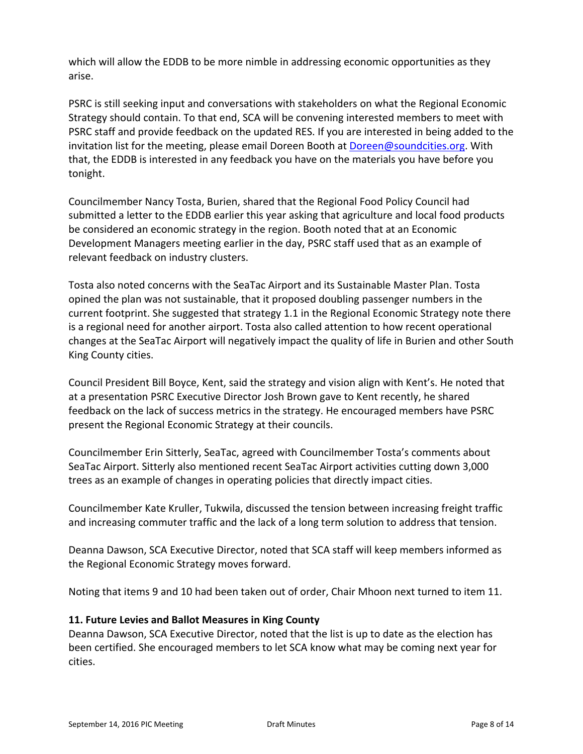which will allow the EDDB to be more nimble in addressing economic opportunities as they arise.

PSRC is still seeking input and conversations with stakeholders on what the Regional Economic Strategy should contain. To that end, SCA will be convening interested members to meet with PSRC staff and provide feedback on the updated RES. If you are interested in being added to the invitation list for the meeting, please email Doreen Booth at Doreen@soundcities.org. With that, the EDDB is interested in any feedback you have on the materials you have before you tonight.

Councilmember Nancy Tosta, Burien, shared that the Regional Food Policy Council had submitted a letter to the EDDB earlier this year asking that agriculture and local food products be considered an economic strategy in the region. Booth noted that at an Economic Development Managers meeting earlier in the day, PSRC staff used that as an example of relevant feedback on industry clusters.

Tosta also noted concerns with the SeaTac Airport and its Sustainable Master Plan. Tosta opined the plan was not sustainable, that it proposed doubling passenger numbers in the current footprint. She suggested that strategy 1.1 in the Regional Economic Strategy note there is a regional need for another airport. Tosta also called attention to how recent operational changes at the SeaTac Airport will negatively impact the quality of life in Burien and other South King County cities.

Council President Bill Boyce, Kent, said the strategy and vision align with Kent's. He noted that at a presentation PSRC Executive Director Josh Brown gave to Kent recently, he shared feedback on the lack of success metrics in the strategy. He encouraged members have PSRC present the Regional Economic Strategy at their councils.

Councilmember Erin Sitterly, SeaTac, agreed with Councilmember Tosta's comments about SeaTac Airport. Sitterly also mentioned recent SeaTac Airport activities cutting down 3,000 trees as an example of changes in operating policies that directly impact cities.

Councilmember Kate Kruller, Tukwila, discussed the tension between increasing freight traffic and increasing commuter traffic and the lack of a long term solution to address that tension.

Deanna Dawson, SCA Executive Director, noted that SCA staff will keep members informed as the Regional Economic Strategy moves forward.

Noting that items 9 and 10 had been taken out of order, Chair Mhoon next turned to item 11.

#### **11. Future Levies and Ballot Measures in King County**

Deanna Dawson, SCA Executive Director, noted that the list is up to date as the election has been certified. She encouraged members to let SCA know what may be coming next year for cities.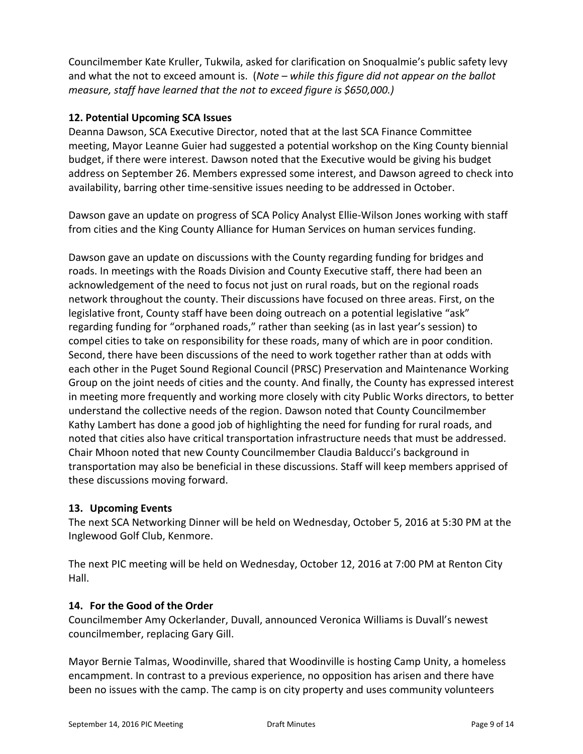Councilmember Kate Kruller, Tukwila, asked for clarification on Snoqualmie's public safety levy and what the not to exceed amount is. (*Note – while this figure did not appear on the ballot measure, staff have learned that the not to exceed figure is \$650,000.)*

## **12. Potential Upcoming SCA Issues**

Deanna Dawson, SCA Executive Director, noted that at the last SCA Finance Committee meeting, Mayor Leanne Guier had suggested a potential workshop on the King County biennial budget, if there were interest. Dawson noted that the Executive would be giving his budget address on September 26. Members expressed some interest, and Dawson agreed to check into availability, barring other time‐sensitive issues needing to be addressed in October.

Dawson gave an update on progress of SCA Policy Analyst Ellie‐Wilson Jones working with staff from cities and the King County Alliance for Human Services on human services funding.

Dawson gave an update on discussions with the County regarding funding for bridges and roads. In meetings with the Roads Division and County Executive staff, there had been an acknowledgement of the need to focus not just on rural roads, but on the regional roads network throughout the county. Their discussions have focused on three areas. First, on the legislative front, County staff have been doing outreach on a potential legislative "ask" regarding funding for "orphaned roads," rather than seeking (as in last year's session) to compel cities to take on responsibility for these roads, many of which are in poor condition. Second, there have been discussions of the need to work together rather than at odds with each other in the Puget Sound Regional Council (PRSC) Preservation and Maintenance Working Group on the joint needs of cities and the county. And finally, the County has expressed interest in meeting more frequently and working more closely with city Public Works directors, to better understand the collective needs of the region. Dawson noted that County Councilmember Kathy Lambert has done a good job of highlighting the need for funding for rural roads, and noted that cities also have critical transportation infrastructure needs that must be addressed. Chair Mhoon noted that new County Councilmember Claudia Balducci's background in transportation may also be beneficial in these discussions. Staff will keep members apprised of these discussions moving forward.

## **13. Upcoming Events**

The next SCA Networking Dinner will be held on Wednesday, October 5, 2016 at 5:30 PM at the Inglewood Golf Club, Kenmore.

The next PIC meeting will be held on Wednesday, October 12, 2016 at 7:00 PM at Renton City Hall.

## **14. For the Good of the Order**

Councilmember Amy Ockerlander, Duvall, announced Veronica Williams is Duvall's newest councilmember, replacing Gary Gill.

Mayor Bernie Talmas, Woodinville, shared that Woodinville is hosting Camp Unity, a homeless encampment. In contrast to a previous experience, no opposition has arisen and there have been no issues with the camp. The camp is on city property and uses community volunteers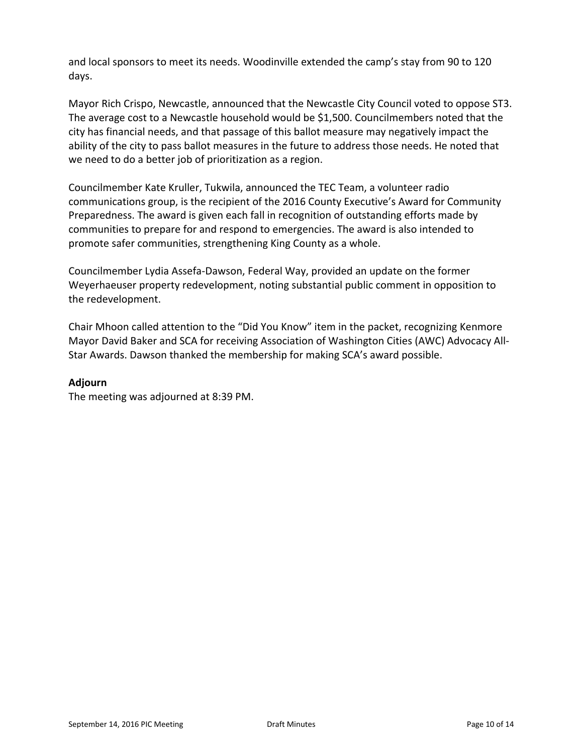and local sponsors to meet its needs. Woodinville extended the camp's stay from 90 to 120 days.

Mayor Rich Crispo, Newcastle, announced that the Newcastle City Council voted to oppose ST3. The average cost to a Newcastle household would be \$1,500. Councilmembers noted that the city has financial needs, and that passage of this ballot measure may negatively impact the ability of the city to pass ballot measures in the future to address those needs. He noted that we need to do a better job of prioritization as a region.

Councilmember Kate Kruller, Tukwila, announced the TEC Team, a volunteer radio communications group, is the recipient of the 2016 County Executive's Award for Community Preparedness. The award is given each fall in recognition of outstanding efforts made by communities to prepare for and respond to emergencies. The award is also intended to promote safer communities, strengthening King County as a whole.

Councilmember Lydia Assefa‐Dawson, Federal Way, provided an update on the former Weyerhaeuser property redevelopment, noting substantial public comment in opposition to the redevelopment.

Chair Mhoon called attention to the "Did You Know" item in the packet, recognizing Kenmore Mayor David Baker and SCA for receiving Association of Washington Cities (AWC) Advocacy All‐ Star Awards. Dawson thanked the membership for making SCA's award possible.

### **Adjourn**

The meeting was adjourned at 8:39 PM.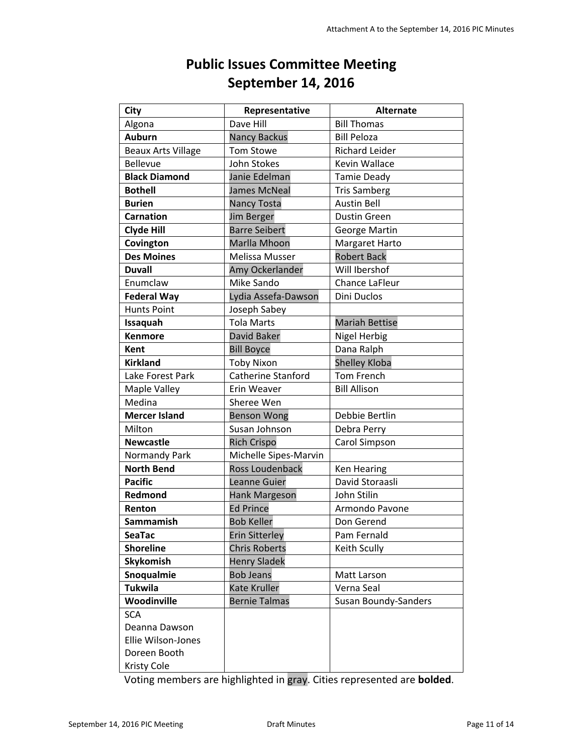# **Public Issues Committee Meeting September 14, 2016**

<span id="page-10-0"></span>

| <b>City</b>               | Representative            | <b>Alternate</b>            |
|---------------------------|---------------------------|-----------------------------|
| Algona                    | Dave Hill                 | <b>Bill Thomas</b>          |
| <b>Auburn</b>             | <b>Nancy Backus</b>       | <b>Bill Peloza</b>          |
| <b>Beaux Arts Village</b> | <b>Tom Stowe</b>          | <b>Richard Leider</b>       |
| <b>Bellevue</b>           | John Stokes               | Kevin Wallace               |
| <b>Black Diamond</b>      | Janie Edelman             | <b>Tamie Deady</b>          |
| <b>Bothell</b>            | <b>James McNeal</b>       | <b>Tris Samberg</b>         |
| <b>Burien</b>             | Nancy Tosta               | <b>Austin Bell</b>          |
| <b>Carnation</b>          | <b>Jim Berger</b>         | <b>Dustin Green</b>         |
| <b>Clyde Hill</b>         | <b>Barre Seibert</b>      | George Martin               |
| Covington                 | Marlla Mhoon              | Margaret Harto              |
| <b>Des Moines</b>         | Melissa Musser            | <b>Robert Back</b>          |
| <b>Duvall</b>             | Amy Ockerlander           | Will Ibershof               |
| Enumclaw                  | Mike Sando                | <b>Chance LaFleur</b>       |
| <b>Federal Way</b>        | Lydia Assefa-Dawson       | Dini Duclos                 |
| <b>Hunts Point</b>        | Joseph Sabey              |                             |
| Issaquah                  | <b>Tola Marts</b>         | <b>Mariah Bettise</b>       |
| <b>Kenmore</b>            | David Baker               | <b>Nigel Herbig</b>         |
| Kent                      | <b>Bill Boyce</b>         | Dana Ralph                  |
| <b>Kirkland</b>           | <b>Toby Nixon</b>         | Shelley Kloba               |
| Lake Forest Park          | <b>Catherine Stanford</b> | <b>Tom French</b>           |
| Maple Valley              | Erin Weaver               | <b>Bill Allison</b>         |
| Medina                    | Sheree Wen                |                             |
| <b>Mercer Island</b>      | <b>Benson Wong</b>        | Debbie Bertlin              |
| Milton                    | Susan Johnson             | Debra Perry                 |
| <b>Newcastle</b>          | <b>Rich Crispo</b>        | Carol Simpson               |
| Normandy Park             | Michelle Sipes-Marvin     |                             |
| <b>North Bend</b>         | <b>Ross Loudenback</b>    | <b>Ken Hearing</b>          |
| <b>Pacific</b>            | Leanne Guier              | David Storaasli             |
| Redmond                   | <b>Hank Margeson</b>      | John Stilin                 |
| Renton                    | <b>Ed Prince</b>          | Armondo Pavone              |
| Sammamish                 | <b>Bob Keller</b>         | Don Gerend                  |
| <b>SeaTac</b>             | <b>Erin Sitterley</b>     | Pam Fernald                 |
| <b>Shoreline</b>          | <b>Chris Roberts</b>      | Keith Scully                |
| Skykomish                 | <b>Henry Sladek</b>       |                             |
| Snoqualmie                | <b>Bob Jeans</b>          | Matt Larson                 |
| <b>Tukwila</b>            | Kate Kruller              | Verna Seal                  |
| Woodinville               | <b>Bernie Talmas</b>      | <b>Susan Boundy-Sanders</b> |
| <b>SCA</b>                |                           |                             |
| Deanna Dawson             |                           |                             |
| Ellie Wilson-Jones        |                           |                             |
| Doreen Booth              |                           |                             |
| Kristy Cole               |                           |                             |

Voting members are highlighted in gray. Cities represented are **bolded**.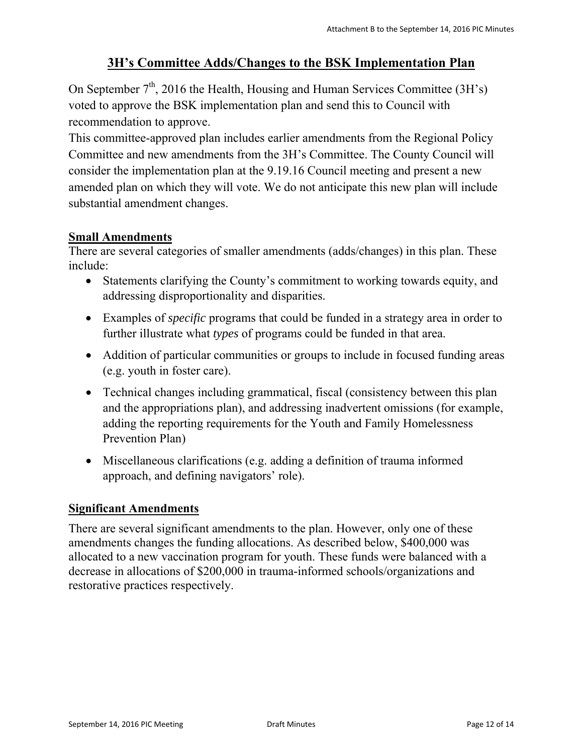## **3H's Committee Adds/Changes to the BSK Implementation Plan**

<span id="page-11-0"></span>On September  $7<sup>th</sup>$ , 2016 the Health, Housing and Human Services Committee (3H's) voted to approve the BSK implementation plan and send this to Council with recommendation to approve.

This committee-approved plan includes earlier amendments from the Regional Policy Committee and new amendments from the 3H's Committee. The County Council will consider the implementation plan at the 9.19.16 Council meeting and present a new amended plan on which they will vote. We do not anticipate this new plan will include substantial amendment changes.

## **Small Amendments**

There are several categories of smaller amendments (adds/changes) in this plan. These include:

- Statements clarifying the County's commitment to working towards equity, and addressing disproportionality and disparities.
- Examples of *specific* programs that could be funded in a strategy area in order to further illustrate what *types* of programs could be funded in that area.
- Addition of particular communities or groups to include in focused funding areas (e.g. youth in foster care).
- Technical changes including grammatical, fiscal (consistency between this plan and the appropriations plan), and addressing inadvertent omissions (for example, adding the reporting requirements for the Youth and Family Homelessness Prevention Plan)
- Miscellaneous clarifications (e.g. adding a definition of trauma informed approach, and defining navigators' role).

## **Significant Amendments**

There are several significant amendments to the plan. However, only one of these amendments changes the funding allocations. As described below, \$400,000 was allocated to a new vaccination program for youth. These funds were balanced with a decrease in allocations of \$200,000 in trauma-informed schools/organizations and restorative practices respectively.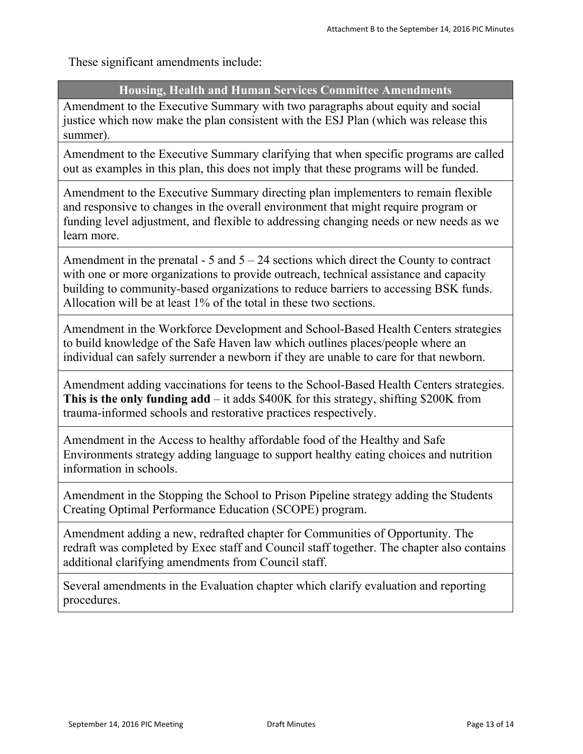These significant amendments include:

## **Housing, Health and Human Services Committee Amendments**

Amendment to the Executive Summary with two paragraphs about equity and social justice which now make the plan consistent with the ESJ Plan (which was release this summer).

Amendment to the Executive Summary clarifying that when specific programs are called out as examples in this plan, this does not imply that these programs will be funded.

Amendment to the Executive Summary directing plan implementers to remain flexible and responsive to changes in the overall environment that might require program or funding level adjustment, and flexible to addressing changing needs or new needs as we learn more.

Amendment in the prenatal  $-5$  and  $5 - 24$  sections which direct the County to contract with one or more organizations to provide outreach, technical assistance and capacity building to community-based organizations to reduce barriers to accessing BSK funds. Allocation will be at least 1% of the total in these two sections.

Amendment in the Workforce Development and School-Based Health Centers strategies to build knowledge of the Safe Haven law which outlines places/people where an individual can safely surrender a newborn if they are unable to care for that newborn.

Amendment adding vaccinations for teens to the School-Based Health Centers strategies. **This is the only funding add** – it adds \$400K for this strategy, shifting \$200K from trauma-informed schools and restorative practices respectively.

Amendment in the Access to healthy affordable food of the Healthy and Safe Environments strategy adding language to support healthy eating choices and nutrition information in schools.

Amendment in the Stopping the School to Prison Pipeline strategy adding the Students Creating Optimal Performance Education (SCOPE) program.

Amendment adding a new, redrafted chapter for Communities of Opportunity. The redraft was completed by Exec staff and Council staff together. The chapter also contains additional clarifying amendments from Council staff.

Several amendments in the Evaluation chapter which clarify evaluation and reporting procedures.